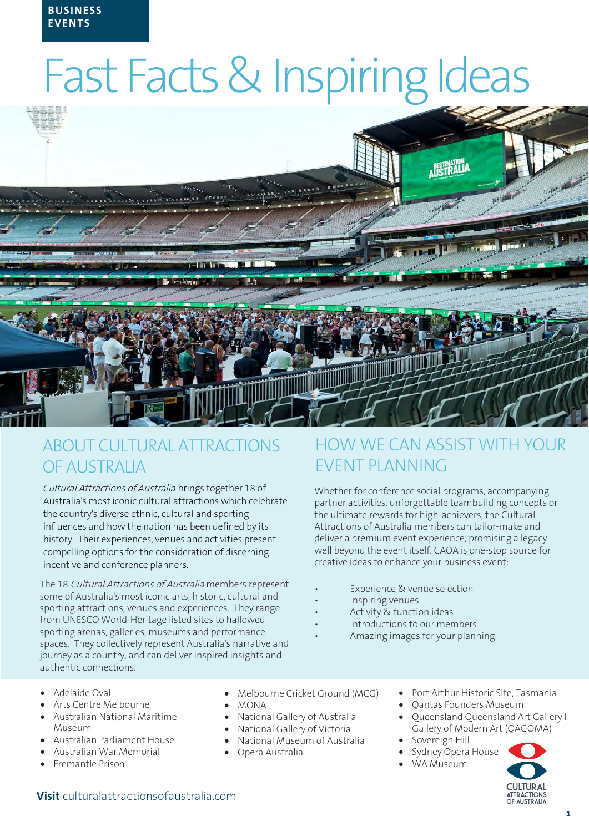# Fast Facts & Inspiring Ideas



# ABOUT CULTURAL ATTRACTIONS OF AUSTRALIA

Cultural Attractions of Australia brings together 18 of Australia's most iconic cultural attractions which celebrate the country's diverse ethnic, cultural and sporting influences and how the nation has been defined by its history. Their experiences, venues and activities present compelling options for the consideration of discerning incentive and conference planners.

The 18 Cultural Attractions of Australia members represent some of Australia's most iconic arts, historic, cultural and sporting attractions, venues and experiences. They range from UNESCO World-Heritage listed sites to hallowed sporting arenas, galleries, museums and performance spaces. They collectively represent Australia's narrative and journey as a country, and can deliver inspired insights and authentic connections.

# HOW WE CAN ASSIST WITH YOUR EVENT PLANNING

Whether for conference social programs, accompanying partner activities, unforgettable teambuilding concepts or the ultimate rewards for high-achievers, the Cultural Attractions of Australia members can tailor-make and deliver a premium event experience, promising a legacy well beyond the event itself. CAOA is one-stop source for creative ideas to enhance your business event:

- Experience & venue selection
- Inspiring venues
- Activity & function ideas
- Introductions to our members
- Amazing images for your planning

- Adelaide Oval
- Arts Centre Melbourne
- Australian National Maritime Museum
- Australian Parliament House
- Australian War Memorial
- Fremantle Prison
- Melbourne Cricket Ground (MCG)
- MONA
- National Gallery of Australia
- National Gallery of Victoria
- National Museum of Australia
- Opera Australia
- Port Arthur Historic Site, Tasmania
- Qantas Founders Museum
- Queensland Queensland Art Gallery I Gallery of Modern Art (QAGOMA)
- Sovereign Hill
- Sydney Opera House
- WA Museum



## **Visit** [culturalattractionsofaustralia.com](https://culturalattractionsofaustralia.com/meetings-incentives/)